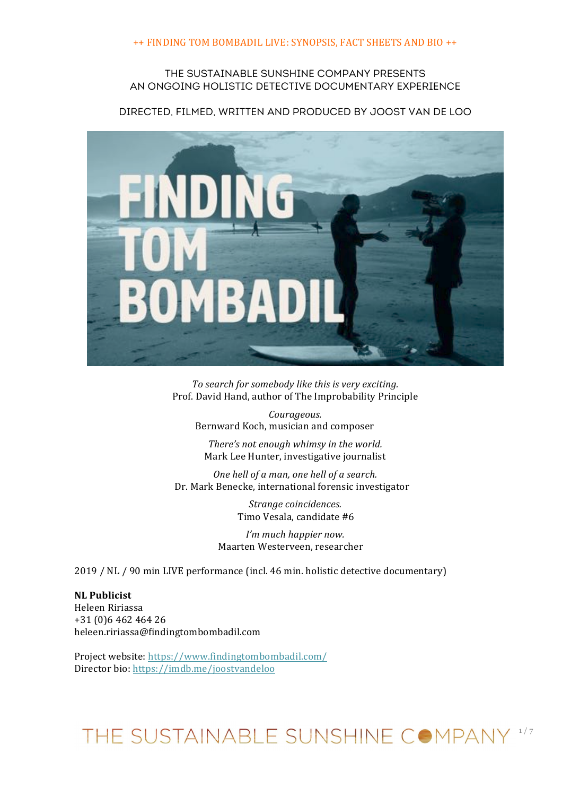## The Sustainable Sunshine Company presents An ongoing HOLISTIC detective documentary experience

Directed, filmed, written and produced by joost van de loo



*To search for somebody like this is very exciting.* Prof. David Hand, author of The Improbability Principle

*Courageous.* Bernward Koch, musician and composer

There's not enough whimsy in the world. Mark Lee Hunter, investigative journalist

*One hell of a man, one hell of a search.* Dr. Mark Benecke, international forensic investigator

> *Strange coincidences.* Timo Vesala, candidate #6

*I'm* much happier now. Maarten Westerveen, researcher

2019 / NL / 90 min LIVE performance (incl. 46 min. holistic detective documentary)

**NL Publicist** Heleen Ririassa +31 (0)6 462 464 26 heleen.ririassa@findingtombombadil.com

Project website: https://www.findingtombombadil.com/ Director bio: https://imdb.me/joostvandeloo

THE SUSTAINABLE SUNSHINE COMPANY<sup>1/7</sup>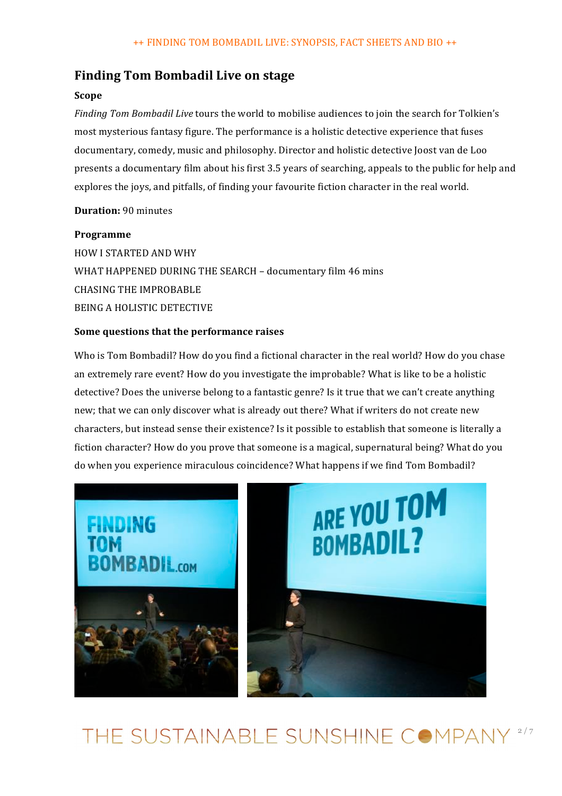## **Finding Tom Bombadil Live on stage**

#### **Scope**

*Finding Tom Bombadil Live* tours the world to mobilise audiences to join the search for Tolkien's most mysterious fantasy figure. The performance is a holistic detective experience that fuses documentary, comedy, music and philosophy. Director and holistic detective Joost van de Loo presents a documentary film about his first 3.5 years of searching, appeals to the public for help and explores the joys, and pitfalls, of finding your favourite fiction character in the real world.

### **Duration:** 90 minutes

### **Programme**

HOW I STARTED AND WHY WHAT HAPPENED DURING THE SEARCH - documentary film 46 mins CHASING THE IMPROBABLE BEING A HOLISTIC DETECTIVE

### Some questions that the performance raises

Who is Tom Bombadil? How do you find a fictional character in the real world? How do you chase an extremely rare event? How do you investigate the improbable? What is like to be a holistic detective? Does the universe belong to a fantastic genre? Is it true that we can't create anything new; that we can only discover what is already out there? What if writers do not create new characters, but instead sense their existence? Is it possible to establish that someone is literally a fiction character? How do you prove that someone is a magical, supernatural being? What do you do when you experience miraculous coincidence? What happens if we find Tom Bombadil?



# THE SUSTAINABLE SUNSHINE COMPANY<sup>2/7</sup>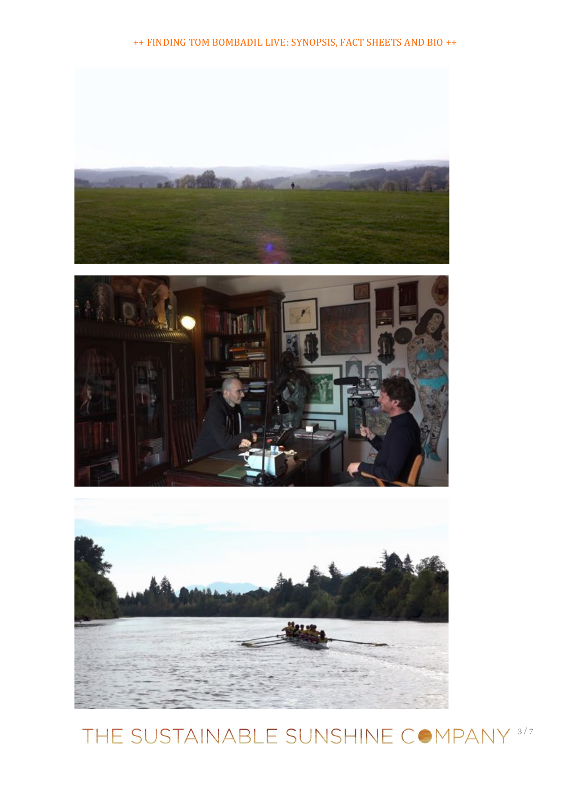### ++ FINDING TOM BOMBADIL LIVE: SYNOPSIS, FACT SHEETS AND BIO ++







# THE SUSTAINABLE SUNSHINE COMPANY 3/7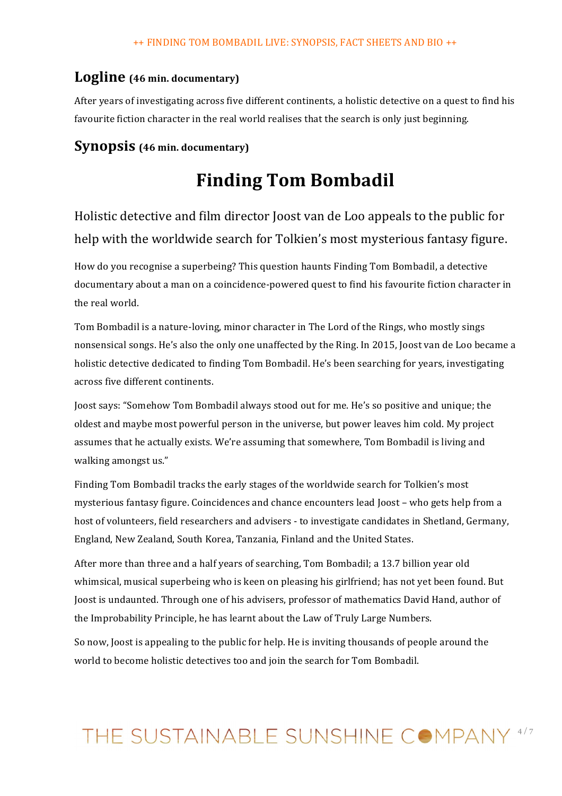## **Logline (46 min. documentary)**

After years of investigating across five different continents, a holistic detective on a quest to find his favourite fiction character in the real world realises that the search is only just beginning.

## **Synopsis** (46 min. documentary)

## **Finding Tom Bombadil**

Holistic detective and film director Joost van de Loo appeals to the public for help with the worldwide search for Tolkien's most mysterious fantasy figure.

How do you recognise a superbeing? This question haunts Finding Tom Bombadil, a detective documentary about a man on a coincidence-powered quest to find his favourite fiction character in the real world.

Tom Bombadil is a nature-loving, minor character in The Lord of the Rings, who mostly sings nonsensical songs. He's also the only one unaffected by the Ring. In 2015, Joost van de Loo became a holistic detective dedicated to finding Tom Bombadil. He's been searching for years, investigating across five different continents.

Joost says: "Somehow Tom Bombadil always stood out for me. He's so positive and unique; the oldest and maybe most powerful person in the universe, but power leaves him cold. My project assumes that he actually exists. We're assuming that somewhere, Tom Bombadil is living and walking amongst us."

Finding Tom Bombadil tracks the early stages of the worldwide search for Tolkien's most mysterious fantasy figure. Coincidences and chance encounters lead Joost – who gets help from a host of volunteers, field researchers and advisers - to investigate candidates in Shetland, Germany, England, New Zealand, South Korea, Tanzania, Finland and the United States.

After more than three and a half years of searching, Tom Bombadil; a 13.7 billion year old whimsical, musical superbeing who is keen on pleasing his girlfriend; has not yet been found. But Joost is undaunted. Through one of his advisers, professor of mathematics David Hand, author of the Improbability Principle, he has learnt about the Law of Truly Large Numbers.

So now, Joost is appealing to the public for help. He is inviting thousands of people around the world to become holistic detectives too and join the search for Tom Bombadil.

# THE SUSTAINABLE SUNSHINE COMPANY 4/7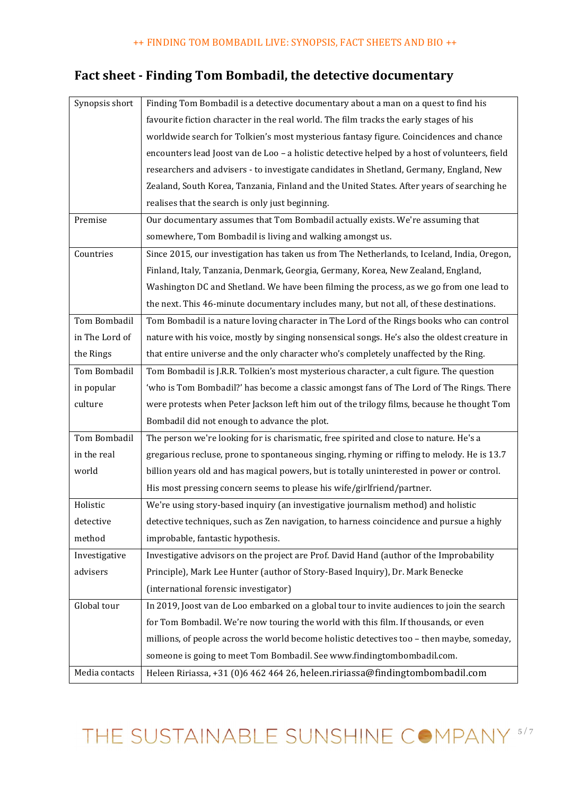## Fact sheet - Finding Tom Bombadil, the detective documentary

| Synopsis short | Finding Tom Bombadil is a detective documentary about a man on a quest to find his            |
|----------------|-----------------------------------------------------------------------------------------------|
|                | favourite fiction character in the real world. The film tracks the early stages of his        |
|                | worldwide search for Tolkien's most mysterious fantasy figure. Coincidences and chance        |
|                | encounters lead Joost van de Loo - a holistic detective helped by a host of volunteers, field |
|                | researchers and advisers - to investigate candidates in Shetland, Germany, England, New       |
|                | Zealand, South Korea, Tanzania, Finland and the United States. After years of searching he    |
|                | realises that the search is only just beginning.                                              |
| Premise        | Our documentary assumes that Tom Bombadil actually exists. We're assuming that                |
|                | somewhere, Tom Bombadil is living and walking amongst us.                                     |
| Countries      | Since 2015, our investigation has taken us from The Netherlands, to Iceland, India, Oregon,   |
|                | Finland, Italy, Tanzania, Denmark, Georgia, Germany, Korea, New Zealand, England,             |
|                | Washington DC and Shetland. We have been filming the process, as we go from one lead to       |
|                | the next. This 46-minute documentary includes many, but not all, of these destinations.       |
| Tom Bombadil   | Tom Bombadil is a nature loving character in The Lord of the Rings books who can control      |
| in The Lord of | nature with his voice, mostly by singing nonsensical songs. He's also the oldest creature in  |
| the Rings      | that entire universe and the only character who's completely unaffected by the Ring.          |
| Tom Bombadil   | Tom Bombadil is J.R.R. Tolkien's most mysterious character, a cult figure. The question       |
| in popular     | 'who is Tom Bombadil?' has become a classic amongst fans of The Lord of The Rings. There      |
| culture        | were protests when Peter Jackson left him out of the trilogy films, because he thought Tom    |
|                | Bombadil did not enough to advance the plot.                                                  |
| Tom Bombadil   | The person we're looking for is charismatic, free spirited and close to nature. He's a        |
| in the real    | gregarious recluse, prone to spontaneous singing, rhyming or riffing to melody. He is 13.7    |
| world          | billion years old and has magical powers, but is totally uninterested in power or control.    |
|                | His most pressing concern seems to please his wife/girlfriend/partner.                        |
| Holistic       | We're using story-based inquiry (an investigative journalism method) and holistic             |
| detective      | detective techniques, such as Zen navigation, to harness coincidence and pursue a highly      |
| method         | improbable, fantastic hypothesis.                                                             |
| Investigative  | Investigative advisors on the project are Prof. David Hand (author of the Improbability       |
| advisers       | Principle), Mark Lee Hunter (author of Story-Based Inquiry), Dr. Mark Benecke                 |
|                | (international forensic investigator)                                                         |
| Global tour    | In 2019, Joost van de Loo embarked on a global tour to invite audiences to join the search    |
|                | for Tom Bombadil. We're now touring the world with this film. If thousands, or even           |
|                | millions, of people across the world become holistic detectives too - then maybe, someday,    |
|                | someone is going to meet Tom Bombadil. See www.findingtombombadil.com.                        |
| Media contacts | Heleen Ririassa, +31 (0)6 462 464 26, heleen.ririassa@findingtombombadil.com                  |

THE SUSTAINABLE SUNSHINE COMPANY 5/7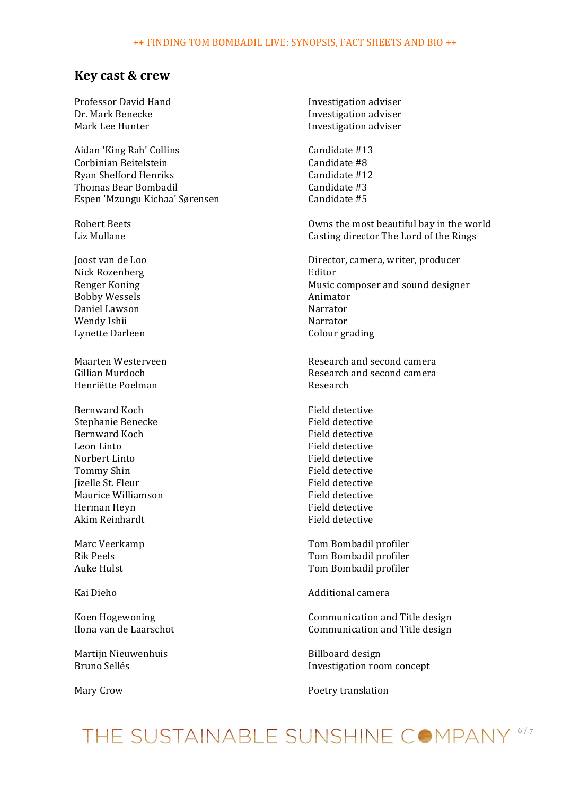#### ++ FINDING TOM BOMBADIL LIVE: SYNOPSIS, FACT SHEETS AND BIO ++

### **Key cast & crew**

Professor David Hand **Investigation** adviser Dr. Mark Benecke **Investigation** adviser Mark Lee Hunter **Investigation** adviser

Aidan 'King Rah' Collins Candidate #13 Corbinian Beitelstein Candidate #8 Ryan Shelford Henriks **Candidate** #12 Thomas Bear Bombadil **Candidate** #3 Espen 'Mzungu Kichaa' Sørensen Candidate #5

Nick Rozenberg **Editor** Editor Bobby Wessels **Animator Animator** Daniel Lawson **National Lawson** National Daniel Lawson Wendy Ishii Narrator Narrator Lynette Darleen **Colour** grading

Henriëtte Poelman Research

Bernward Koch **Field detective** Stephanie Benecke Field detective Bernward Koch **Field** detective Leon Linto **Field** detective Norbert Linto Field detective Tommy Shin Field detective Jizelle St. Fleur Field detective Maurice Williamson **Field** detective Herman Heyn The Communication of the Field detective Akim Reinhardt Field detective

Martijn Nieuwenhuis **Billboard** design

Robert Beets **Communist Communist Communist Communist Communist Communist Communist Communist Communist Communist Communist Communist Communist Communist Communist Communist Communist Communist Communist Communist Communis** Liz Mullane **Casting director** The Lord of the Rings

Joost van de Loo Director, camera, writer, producer Renger Koning **Music** composer and sound designer

Maarten Westerveen **Research** and second camera Gillian Murdoch **Research** and second camera

Marc Veerkamp Tom Bombadil profiler Rik Peels Tom Bombadil profiler Auke Hulst **Auke Hulst** Tom Bombadil profiler

Kai Dieho **Additional** camera

Koen Hogewoning **Communication** and Title design Ilona van de Laarschot and Title design

Bruno Sellés **Investigation** room concept

Mary Crow **Poetry** translation

THE SUSTAINABLE SUNSHINE COMPANY 6/7